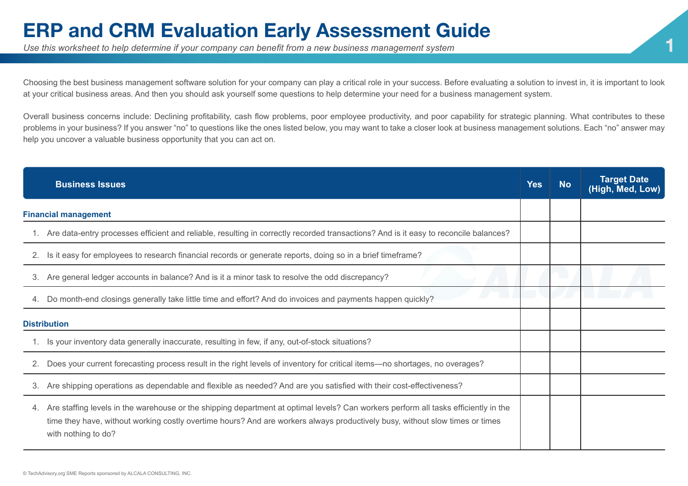## **ERP and CRM Evaluation Early Assessment Guide**<br>Use this worksheet to help determine if your company can benefit from a new business management system

Choosing the best business management software solution for your company can play a critical role in your success. Before evaluating a solution to invest in, it is important to look at your critical business areas. And then you should ask yourself some questions to help determine your need for a business management system.

Overall business concerns include: Declining profitability, cash flow problems, poor employee productivity, and poor capability for strategic planning. What contributes to these problems in your business? If you answer "no" to questions like the ones listed below, you may want to take a closer look at business management solutions. Each "no" answer may help you uncover a valuable business opportunity that you can act on.

|                             | <b>Business Issues</b>                                                                                                                                                                                                                                                                     | Yes | <b>No</b> | <b>Target Date</b><br>(High, Med, Low) |
|-----------------------------|--------------------------------------------------------------------------------------------------------------------------------------------------------------------------------------------------------------------------------------------------------------------------------------------|-----|-----------|----------------------------------------|
| <b>Financial management</b> |                                                                                                                                                                                                                                                                                            |     |           |                                        |
|                             | 1. Are data-entry processes efficient and reliable, resulting in correctly recorded transactions? And is it easy to reconcile balances?                                                                                                                                                    |     |           |                                        |
| 2.                          | Is it easy for employees to research financial records or generate reports, doing so in a brief timeframe?                                                                                                                                                                                 |     |           |                                        |
|                             | 3. Are general ledger accounts in balance? And is it a minor task to resolve the odd discrepancy?                                                                                                                                                                                          |     |           |                                        |
| 4.                          | Do month-end closings generally take little time and effort? And do invoices and payments happen quickly?                                                                                                                                                                                  |     |           |                                        |
| <b>Distribution</b>         |                                                                                                                                                                                                                                                                                            |     |           |                                        |
|                             | 1. Is your inventory data generally inaccurate, resulting in few, if any, out-of-stock situations?                                                                                                                                                                                         |     |           |                                        |
| 2.                          | Does your current forecasting process result in the right levels of inventory for critical items—no shortages, no overages?                                                                                                                                                                |     |           |                                        |
| 3.                          | Are shipping operations as dependable and flexible as needed? And are you satisfied with their cost-effectiveness?                                                                                                                                                                         |     |           |                                        |
| 4.                          | Are staffing levels in the warehouse or the shipping department at optimal levels? Can workers perform all tasks efficiently in the<br>time they have, without working costly overtime hours? And are workers always productively busy, without slow times or times<br>with nothing to do? |     |           |                                        |